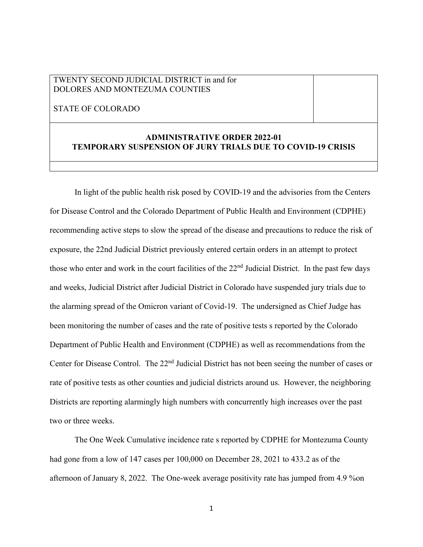## TWENTY SECOND JUDICIAL DISTRICT in and for DOLORES AND MONTEZUMA COUNTIES

STATE OF COLORADO

## **ADMINISTRATIVE ORDER 2022-01 TEMPORARY SUSPENSION OF JURY TRIALS DUE TO COVID-19 CRISIS**

In light of the public health risk posed by COVID-19 and the advisories from the Centers for Disease Control and the Colorado Department of Public Health and Environment (CDPHE) recommending active steps to slow the spread of the disease and precautions to reduce the risk of exposure, the 22nd Judicial District previously entered certain orders in an attempt to protect those who enter and work in the court facilities of the  $22<sup>nd</sup>$  Judicial District. In the past few days and weeks, Judicial District after Judicial District in Colorado have suspended jury trials due to the alarming spread of the Omicron variant of Covid-19. The undersigned as Chief Judge has been monitoring the number of cases and the rate of positive tests s reported by the Colorado Department of Public Health and Environment (CDPHE) as well as recommendations from the Center for Disease Control. The 22<sup>nd</sup> Judicial District has not been seeing the number of cases or rate of positive tests as other counties and judicial districts around us. However, the neighboring Districts are reporting alarmingly high numbers with concurrently high increases over the past two or three weeks.

The One Week Cumulative incidence rate s reported by CDPHE for Montezuma County had gone from a low of 147 cases per 100,000 on December 28, 2021 to 433.2 as of the afternoon of January 8, 2022. The One-week average positivity rate has jumped from 4.9 %on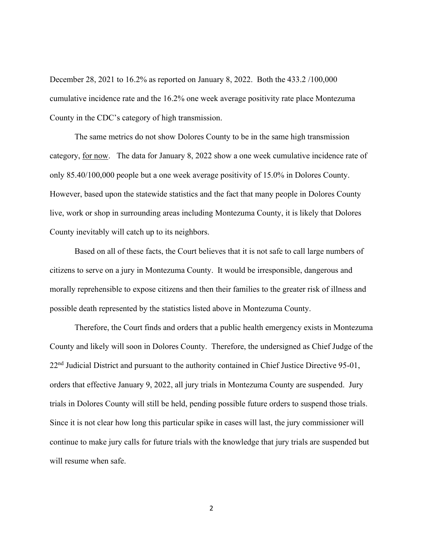December 28, 2021 to 16.2% as reported on January 8, 2022. Both the 433.2 /100,000 cumulative incidence rate and the 16.2% one week average positivity rate place Montezuma County in the CDC's category of high transmission.

The same metrics do not show Dolores County to be in the same high transmission category, for now. The data for January 8, 2022 show a one week cumulative incidence rate of only 85.40/100,000 people but a one week average positivity of 15.0% in Dolores County. However, based upon the statewide statistics and the fact that many people in Dolores County live, work or shop in surrounding areas including Montezuma County, it is likely that Dolores County inevitably will catch up to its neighbors.

Based on all of these facts, the Court believes that it is not safe to call large numbers of citizens to serve on a jury in Montezuma County. It would be irresponsible, dangerous and morally reprehensible to expose citizens and then their families to the greater risk of illness and possible death represented by the statistics listed above in Montezuma County.

Therefore, the Court finds and orders that a public health emergency exists in Montezuma County and likely will soon in Dolores County. Therefore, the undersigned as Chief Judge of the 22<sup>nd</sup> Judicial District and pursuant to the authority contained in Chief Justice Directive 95-01, orders that effective January 9, 2022, all jury trials in Montezuma County are suspended. Jury trials in Dolores County will still be held, pending possible future orders to suspend those trials. Since it is not clear how long this particular spike in cases will last, the jury commissioner will continue to make jury calls for future trials with the knowledge that jury trials are suspended but will resume when safe.

2